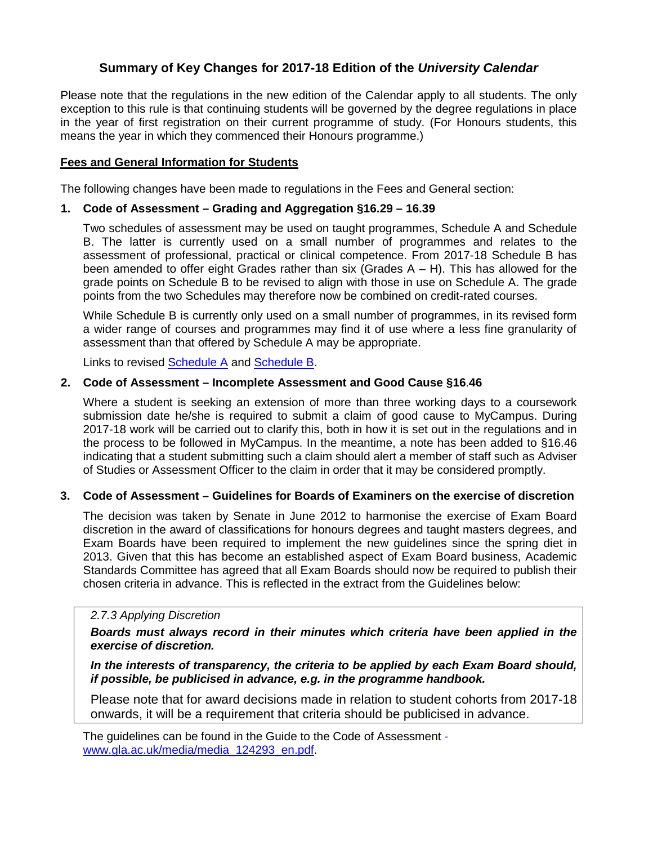# **Summary of Key Changes for 2017-18 Edition of the** *University Calendar*

Please note that the regulations in the new edition of the Calendar apply to all students. The only exception to this rule is that continuing students will be governed by the degree regulations in place in the year of first registration on their current programme of study. (For Honours students, this means the year in which they commenced their Honours programme.)

# **Fees and General Information for Students**

The following changes have been made to regulations in the Fees and General section:

#### **1. Code of Assessment – Grading and Aggregation §16.29 – 16.39**

Two schedules of assessment may be used on taught programmes, Schedule A and Schedule B. The latter is currently used on a small number of programmes and relates to the assessment of professional, practical or clinical competence. From 2017-18 Schedule B has been amended to offer eight Grades rather than six (Grades  $A - H$ ). This has allowed for the grade points on Schedule B to be revised to align with those in use on Schedule A. The grade points from the two Schedules may therefore now be combined on credit-rated courses.

While Schedule B is currently only used on a small number of programmes, in its revised form a wider range of courses and programmes may find it of use where a less fine granularity of assessment than that offered by Schedule A may be appropriate.

Links to revised [Schedule A](http://www.gla.ac.uk/media/media_541792_en.pdf) and [Schedule B.](http://www.gla.ac.uk/media/media_541794_en.pdf)

#### **2. Code of Assessment – Incomplete Assessment and Good Cause §16**.**46**

Where a student is seeking an extension of more than three working days to a coursework submission date he/she is required to submit a claim of good cause to MyCampus. During 2017-18 work will be carried out to clarify this, both in how it is set out in the regulations and in the process to be followed in MyCampus. In the meantime, a note has been added to §16.46 indicating that a student submitting such a claim should alert a member of staff such as Adviser of Studies or Assessment Officer to the claim in order that it may be considered promptly.

# **3. Code of Assessment – Guidelines for Boards of Examiners on the exercise of discretion**

The decision was taken by Senate in June 2012 to harmonise the exercise of Exam Board discretion in the award of classifications for honours degrees and taught masters degrees, and Exam Boards have been required to implement the new guidelines since the spring diet in 2013. Given that this has become an established aspect of Exam Board business, Academic Standards Committee has agreed that all Exam Boards should now be required to publish their chosen criteria in advance. This is reflected in the extract from the Guidelines below:

#### *2.7.3 Applying Discretion*

# *Boards must always record in their minutes which criteria have been applied in the exercise of discretion.*

*In the interests of transparency, the criteria to be applied by each Exam Board should, if possible, be publicised in advance, e.g. in the programme handbook.*

Please note that for award decisions made in relation to student cohorts from 2017-18 onwards, it will be a requirement that criteria should be publicised in advance.

The guidelines can be found in the Guide to the Code of Assessment [www.gla.ac.uk/media/media\\_124293\\_en.pdf.](http://www.gla.ac.uk/media/media_124293_en.pdf)